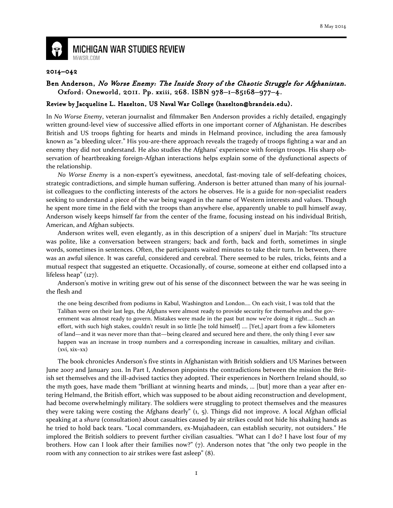

**MICHIGAN WAR STUDIES REVIEW** MiWSR.COM

## 2014–042

## Ben Anderson, No Worse Enemy: The Inside Story of the Chaotic Struggle for Afghanistan. Oxford: Oneworld, 2011. Pp. xxiii, 268. ISBN 978-1-85168-977-4.

## Review by Jacqueline L. Hazelton, US Naval War College (hazelton@brandeis.edu).

In No Worse Enemy, veteran journalist and filmmaker Ben Anderson provides a richly detailed, engagingly written ground-level view of successive allied efforts in one important corner of Afghanistan. He describes British and US troops fighting for hearts and minds in Helmand province, including the area famously known as "a bleeding ulcer." His you-are-there approach reveals the tragedy of troops fighting a war and an enemy they did not understand. He also studies the Afghans' experience with foreign troops. His sharp observation of heartbreaking foreign-Afghan interactions helps explain some of the dysfunctional aspects of the relationship.

No Worse Enemy is a non-expert's eyewitness, anecdotal, fast-moving tale of self-defeating choices, strategic contradictions, and simple human suffering. Anderson is better attuned than many of his journalist colleagues to the conflicting interests of the actors he observes. He is a guide for non-specialist readers seeking to understand a piece of the war being waged in the name of Western interests and values. Though he spent more time in the field with the troops than anywhere else, apparently unable to pull himself away, Anderson wisely keeps himself far from the center of the frame, focusing instead on his individual British, American, and Afghan subjects.

Anderson writes well, even elegantly, as in this description of a snipers' duel in Marjah: "Its structure was polite, like a conversation between strangers; back and forth, back and forth, sometimes in single words, sometimes in sentences. Often, the participants waited minutes to take their turn. In between, there was an awful silence. It was careful, considered and cerebral. There seemed to be rules, tricks, feints and a mutual respect that suggested an etiquette. Occasionally, of course, someone at either end collapsed into a lifeless heap" (127).

Anderson's motive in writing grew out of his sense of the disconnect between the war he was seeing in the flesh and

the one being described from podiums in Kabul, Washington and London…. On each visit, I was told that the Taliban were on their last legs, the Afghans were almost ready to provide security for themselves and the government was almost ready to govern. Mistakes were made in the past but now we're doing it right…. Such an effort, with such high stakes, couldn't result in so little [he told himself] …. [Yet,] apart from a few kilometers of land—and it was never more than that—being cleared and secured here and there, the only thing I ever saw happen was an increase in troop numbers and a corresponding increase in casualties, military and civilian.  $(xvi, xix-xx)$ 

The book chronicles Anderson's five stints in Afghanistan with British soldiers and US Marines between June 2007 and January 2011. In Part I, Anderson pinpoints the contradictions between the mission the British set themselves and the ill-advised tactics they adopted. Their experiences in Northern Ireland should, so the myth goes, have made them "brilliant at winning hearts and minds, … [but] more than a year after entering Helmand, the British effort, which was supposed to be about aiding reconstruction and development, had become overwhelmingly military. The soldiers were struggling to protect themselves and the measures they were taking were costing the Afghans dearly" (1, 5). Things did not improve. A local Afghan official speaking at a shura (consultation) about casualties caused by air strikes could not hide his shaking hands as he tried to hold back tears. "Local commanders, ex-Mujahadeen, can establish security, not outsiders." He implored the British soldiers to prevent further civilian casualties. "What can I do? I have lost four of my brothers. How can I look after their families now?" (7). Anderson notes that "the only two people in the room with any connection to air strikes were fast asleep" (8).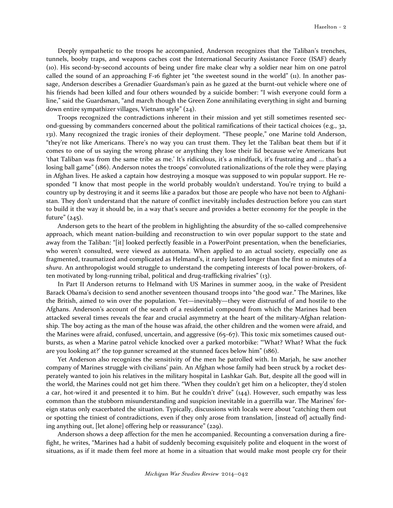Deeply sympathetic to the troops he accompanied, Anderson recognizes that the Taliban's trenches, tunnels, booby traps, and weapons caches cost the International Security Assistance Force (ISAF) dearly (10). His second-by-second accounts of being under fire make clear why a soldier near him on one patrol called the sound of an approaching F-16 fighter jet "the sweetest sound in the world" (11). In another passage, Anderson describes a Grenadier Guardsman's pain as he gazed at the burnt-out vehicle where one of his friends had been killed and four others wounded by a suicide bomber: "I wish everyone could form a line," said the Guardsman, "and march though the Green Zone annihilating everything in sight and burning down entire sympathizer villages, Vietnam style" (24).

Troops recognized the contradictions inherent in their mission and yet still sometimes resented second-guessing by commanders concerned about the political ramifications of their tactical choices (e.g., 32, 131). Many recognized the tragic ironies of their deployment. "These people," one Marine told Anderson, "they're not like Americans. There's no way you can trust them. They let the Taliban beat them but if it comes to one of us saying the wrong phrase or anything they lose their lid because we're Americans but 'that Taliban was from the same tribe as me.' It's ridiculous, it's a mindfuck, it's frustrating and ... that's a losing ball game" (186). Anderson notes the troops' convoluted rationalizations of the role they were playing in Afghan lives. He asked a captain how destroying a mosque was supposed to win popular support. He responded "I know that most people in the world probably wouldn't understand. You're trying to build a country up by destroying it and it seems like a paradox but those are people who have not been to Afghanistan. They don't understand that the nature of conflict inevitably includes destruction before you can start to build it the way it should be, in a way that's secure and provides a better economy for the people in the future" (245).

Anderson gets to the heart of the problem in highlighting the absurdity of the so-called comprehensive approach, which meant nation-building and reconstruction to win over popular support to the state and away from the Taliban: "[it] looked perfectly feasible in a PowerPoint presentation, when the beneficiaries, who weren't consulted, were viewed as automata. When applied to an actual society, especially one as fragmented, traumatized and complicated as Helmand's, it rarely lasted longer than the first 10 minutes of a shura. An anthropologist would struggle to understand the competing interests of local power-brokers, often motivated by long-running tribal, political and drug-trafficking rivalries" (13).

In Part II Anderson returns to Helmand with US Marines in summer 2009, in the wake of President Barack Obama's decision to send another seventeen thousand troops into "the good war." The Marines, like the British, aimed to win over the population. Yet—inevitably—they were distrustful of and hostile to the Afghans. Anderson's account of the search of a residential compound from which the Marines had been attacked several times reveals the fear and crucial asymmetry at the heart of the military-Afghan relationship. The boy acting as the man of the house was afraid, the other children and the women were afraid, and the Marines were afraid, confused, uncertain, and aggressive (65–67). This toxic mix sometimes caused outbursts, as when a Marine patrol vehicle knocked over a parked motorbike: "'What? What? What the fuck are you looking at?' the top gunner screamed at the stunned faces below him" (186).

Yet Anderson also recognizes the sensitivity of the men he patrolled with. In Marjah, he saw another company of Marines struggle with civilians' pain. An Afghan whose family had been struck by a rocket desperately wanted to join his relatives in the military hospital in Lashkar Gah. But, despite all the good will in the world, the Marines could not get him there. "When they couldn't get him on a helicopter, they'd stolen a car, hot-wired it and presented it to him. But he couldn't drive" (144). However, such empathy was less common than the stubborn misunderstanding and suspicion inevitable in a guerrilla war. The Marines' foreign status only exacerbated the situation. Typically, discussions with locals were about "catching them out or spotting the tiniest of contradictions, even if they only arose from translation, [instead of] actually finding anything out, [let alone] offering help or reassurance" (229).

Anderson shows a deep affection for the men he accompanied. Recounting a conversation during a firefight, he writes, "Marines had a habit of suddenly becoming exquisitely polite and eloquent in the worst of situations, as if it made them feel more at home in a situation that would make most people cry for their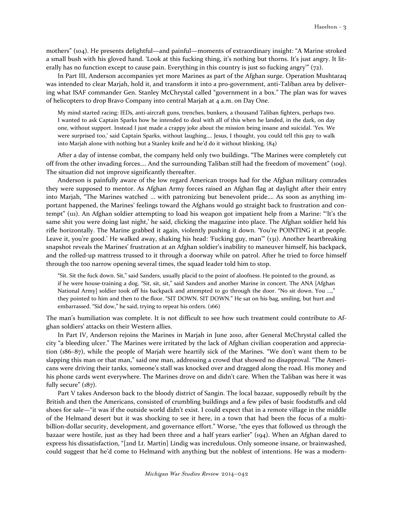mothers" (104). He presents delightful—and painful—moments of extraordinary insight: "A Marine stroked a small bush with his gloved hand. 'Look at this fucking thing, it's nothing but thorns. It's just angry. It literally has no function except to cause pain. Everything in this country is just so fucking angry'" (72).

In Part III, Anderson accompanies yet more Marines as part of the Afghan surge. Operation Mushtaraq was intended to clear Marjah, hold it, and transform it into a pro-government, anti-Taliban area by delivering what ISAF commander Gen. Stanley McChrystal called "government in a box." The plan was for waves of helicopters to drop Bravo Company into central Marjah at 4 a.m. on Day One.

My mind started racing: IEDs, anti-aircraft guns, trenches, bunkers, a thousand Taliban fighters, perhaps two. I wanted to ask Captain Sparks how he intended to deal with all of this when he landed, in the dark, on day one, without support. Instead I just made a crappy joke about the mission being insane and suicidal. 'Yes. We were surprised too,' said Captain Sparks, without laughing…. Jesus, I thought, you could tell this guy to walk into Marjah alone with nothing but a Stanley knife and he'd do it without blinking. (84)

After a day of intense combat, the company held only two buildings. "The Marines were completely cut off from the other invading forces…. And the surrounding Taliban still had the freedom of movement" (109). The situation did not improve significantly thereafter.

Anderson is painfully aware of the low regard American troops had for the Afghan military comrades they were supposed to mentor. As Afghan Army forces raised an Afghan flag at daylight after their entry into Marjah, "The Marines watched ... with patronizing but benevolent pride…. As soon as anything important happened, the Marines' feelings toward the Afghans would go straight back to frustration and contempt" (111). An Afghan soldier attempting to load his weapon got impatient help from a Marine: "'It's the same shit you were doing last night,' he said, clicking the magazine into place. The Afghan soldier held his rifle horizontally. The Marine grabbed it again, violently pushing it down. 'You're POINTING it at people. Leave it, you're good.' He walked away, shaking his head: 'Fucking guy, man'" (131). Another heartbreaking snapshot reveals the Marines' frustration at an Afghan soldier's inability to maneuver himself, his backpack, and the rolled-up mattress trussed to it through a doorway while on patrol. After he tried to force himself through the too narrow opening several times, the squad leader told him to stop.

"Sit. Sit the fuck down. Sit," said Sanders, usually placid to the point of aloofness. He pointed to the ground, as if he were house-training a dog. "Sit, sit, sit," said Sanders and another Marine in concert. The ANA [Afghan National Army] soldier took off his backpack and attempted to go through the door. "No sit down. You ...," they pointed to him and then to the floor. "SIT DOWN. SIT DOWN." He sat on his bag, smiling, but hurt and embarrassed. "Sid dow," he said, trying to repeat his orders. (166)

The man's humiliation was complete. It is not difficult to see how such treatment could contribute to Afghan soldiers' attacks on their Western allies.

In Part IV, Anderson rejoins the Marines in Marjah in June 2010, after General McChrystal called the city "a bleeding ulcer." The Marines were irritated by the lack of Afghan civilian cooperation and appreciation (186–87), while the people of Marjah were heartily sick of the Marines. "We don't want them to be slapping this man or that man," said one man, addressing a crowd that showed no disapproval. "The Americans were driving their tanks, someone's stall was knocked over and dragged along the road. His money and his phone cards went everywhere. The Marines drove on and didn't care. When the Taliban was here it was fully secure" (187).

Part V takes Anderson back to the bloody district of Sangin. The local bazaar, supposedly rebuilt by the British and then the Americans, consisted of crumbling buildings and a few piles of basic foodstuffs and old shoes for sale—"it was if the outside world didn't exist. I could expect that in a remote village in the middle of the Helmand desert but it was shocking to see it here, in a town that had been the focus of a multibillion-dollar security, development, and governance effort." Worse, "the eyes that followed us through the bazaar were hostile, just as they had been three and a half years earlier" (194). When an Afghan dared to express his dissatisfaction, "[2nd Lt. Martin] Lindig was incredulous. Only someone insane, or brainwashed, could suggest that he'd come to Helmand with anything but the noblest of intentions. He was a modern